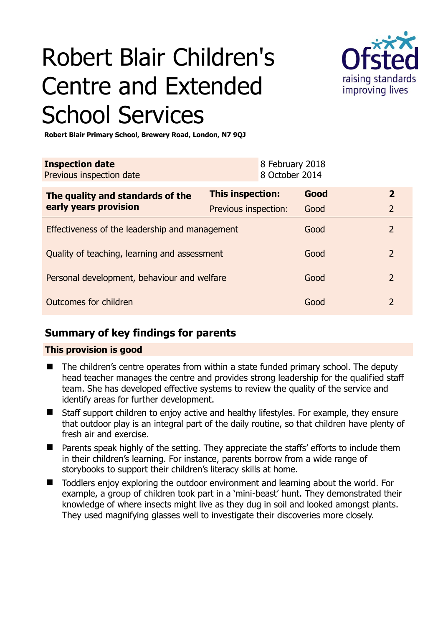# Robert Blair Children's Centre and Extended School Services



**Robert Blair Primary School, Brewery Road, London, N7 9QJ** 

| <b>Inspection date</b><br>Previous inspection date        |                      |  | 8 February 2018<br>8 October 2014 |               |
|-----------------------------------------------------------|----------------------|--|-----------------------------------|---------------|
| The quality and standards of the<br>early years provision | This inspection:     |  | Good                              | $\mathbf{2}$  |
|                                                           | Previous inspection: |  | Good                              | 2             |
| Effectiveness of the leadership and management            |                      |  | Good                              | $\mathcal{P}$ |
| Quality of teaching, learning and assessment              |                      |  | Good                              | 2             |
| Personal development, behaviour and welfare               |                      |  | Good                              | 2             |
| Outcomes for children                                     |                      |  | Good                              | $\mathcal{P}$ |

### **Summary of key findings for parents**

#### **This provision is good**

- The children's centre operates from within a state funded primary school. The deputy head teacher manages the centre and provides strong leadership for the qualified staff team. She has developed effective systems to review the quality of the service and identify areas for further development.
- Staff support children to enjoy active and healthy lifestyles. For example, they ensure that outdoor play is an integral part of the daily routine, so that children have plenty of fresh air and exercise.
- Parents speak highly of the setting. They appreciate the staffs' efforts to include them in their children's learning. For instance, parents borrow from a wide range of storybooks to support their children's literacy skills at home.
- Toddlers enjoy exploring the outdoor environment and learning about the world. For example, a group of children took part in a 'mini-beast' hunt. They demonstrated their knowledge of where insects might live as they dug in soil and looked amongst plants. They used magnifying glasses well to investigate their discoveries more closely.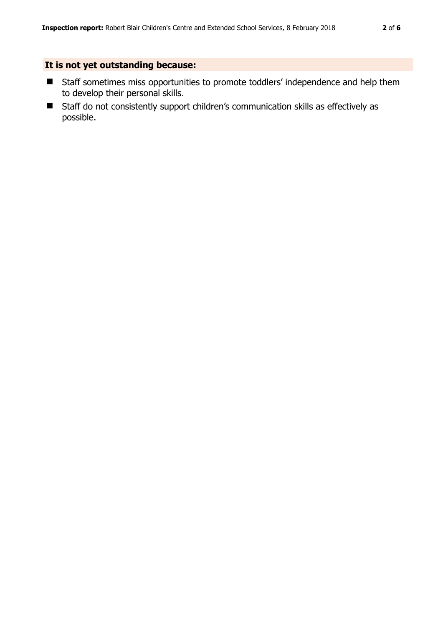#### **It is not yet outstanding because:**

- **E** Staff sometimes miss opportunities to promote toddlers' independence and help them to develop their personal skills.
- Staff do not consistently support children's communication skills as effectively as possible.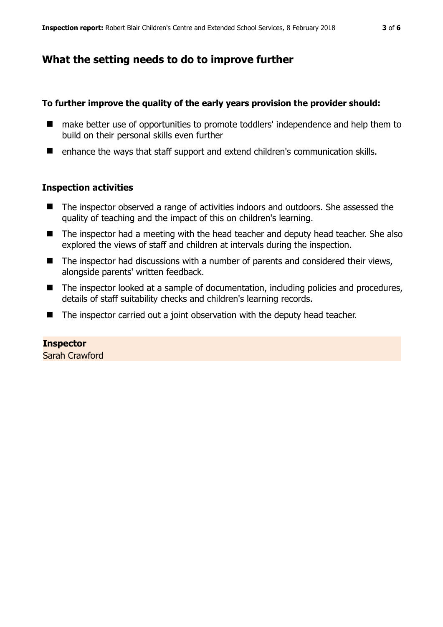## **What the setting needs to do to improve further**

#### **To further improve the quality of the early years provision the provider should:**

- make better use of opportunities to promote toddlers' independence and help them to build on their personal skills even further
- enhance the ways that staff support and extend children's communication skills.

#### **Inspection activities**

- The inspector observed a range of activities indoors and outdoors. She assessed the quality of teaching and the impact of this on children's learning.
- The inspector had a meeting with the head teacher and deputy head teacher. She also explored the views of staff and children at intervals during the inspection.
- The inspector had discussions with a number of parents and considered their views, alongside parents' written feedback.
- The inspector looked at a sample of documentation, including policies and procedures, details of staff suitability checks and children's learning records.
- The inspector carried out a joint observation with the deputy head teacher.

#### **Inspector**

Sarah Crawford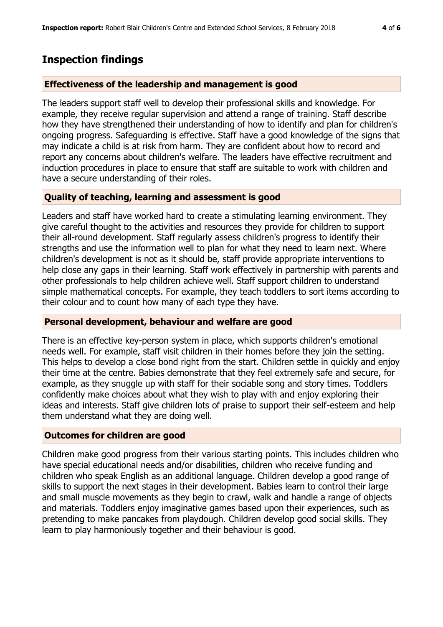## **Inspection findings**

#### **Effectiveness of the leadership and management is good**

The leaders support staff well to develop their professional skills and knowledge. For example, they receive regular supervision and attend a range of training. Staff describe how they have strengthened their understanding of how to identify and plan for children's ongoing progress. Safeguarding is effective. Staff have a good knowledge of the signs that may indicate a child is at risk from harm. They are confident about how to record and report any concerns about children's welfare. The leaders have effective recruitment and induction procedures in place to ensure that staff are suitable to work with children and have a secure understanding of their roles.

#### **Quality of teaching, learning and assessment is good**

Leaders and staff have worked hard to create a stimulating learning environment. They give careful thought to the activities and resources they provide for children to support their all-round development. Staff regularly assess children's progress to identify their strengths and use the information well to plan for what they need to learn next. Where children's development is not as it should be, staff provide appropriate interventions to help close any gaps in their learning. Staff work effectively in partnership with parents and other professionals to help children achieve well. Staff support children to understand simple mathematical concepts. For example, they teach toddlers to sort items according to their colour and to count how many of each type they have.

#### **Personal development, behaviour and welfare are good**

There is an effective key-person system in place, which supports children's emotional needs well. For example, staff visit children in their homes before they join the setting. This helps to develop a close bond right from the start. Children settle in quickly and enjoy their time at the centre. Babies demonstrate that they feel extremely safe and secure, for example, as they snuggle up with staff for their sociable song and story times. Toddlers confidently make choices about what they wish to play with and enjoy exploring their ideas and interests. Staff give children lots of praise to support their self-esteem and help them understand what they are doing well.

#### **Outcomes for children are good**

Children make good progress from their various starting points. This includes children who have special educational needs and/or disabilities, children who receive funding and children who speak English as an additional language. Children develop a good range of skills to support the next stages in their development. Babies learn to control their large and small muscle movements as they begin to crawl, walk and handle a range of objects and materials. Toddlers enjoy imaginative games based upon their experiences, such as pretending to make pancakes from playdough. Children develop good social skills. They learn to play harmoniously together and their behaviour is good.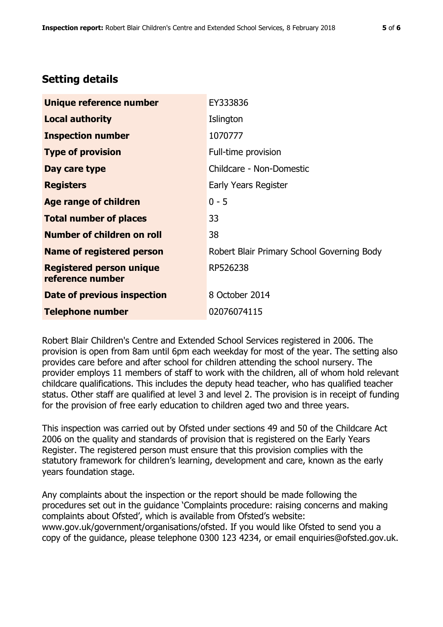## **Setting details**

| Unique reference number                             | EY333836                                   |  |
|-----------------------------------------------------|--------------------------------------------|--|
| <b>Local authority</b>                              | Islington                                  |  |
| <b>Inspection number</b>                            | 1070777                                    |  |
| <b>Type of provision</b>                            | Full-time provision                        |  |
| Day care type                                       | Childcare - Non-Domestic                   |  |
| <b>Registers</b>                                    | Early Years Register                       |  |
| <b>Age range of children</b>                        | $0 - 5$                                    |  |
| <b>Total number of places</b>                       | 33                                         |  |
| <b>Number of children on roll</b>                   | 38                                         |  |
| <b>Name of registered person</b>                    | Robert Blair Primary School Governing Body |  |
| <b>Registered person unique</b><br>reference number | RP526238                                   |  |
| Date of previous inspection                         | 8 October 2014                             |  |
| <b>Telephone number</b>                             | 02076074115                                |  |

Robert Blair Children's Centre and Extended School Services registered in 2006. The provision is open from 8am until 6pm each weekday for most of the year. The setting also provides care before and after school for children attending the school nursery. The provider employs 11 members of staff to work with the children, all of whom hold relevant childcare qualifications. This includes the deputy head teacher, who has qualified teacher status. Other staff are qualified at level 3 and level 2. The provision is in receipt of funding for the provision of free early education to children aged two and three years.

This inspection was carried out by Ofsted under sections 49 and 50 of the Childcare Act 2006 on the quality and standards of provision that is registered on the Early Years Register. The registered person must ensure that this provision complies with the statutory framework for children's learning, development and care, known as the early years foundation stage.

Any complaints about the inspection or the report should be made following the procedures set out in the guidance 'Complaints procedure: raising concerns and making complaints about Ofsted', which is available from Ofsted's website: www.gov.uk/government/organisations/ofsted. If you would like Ofsted to send you a copy of the guidance, please telephone 0300 123 4234, or email enquiries@ofsted.gov.uk.